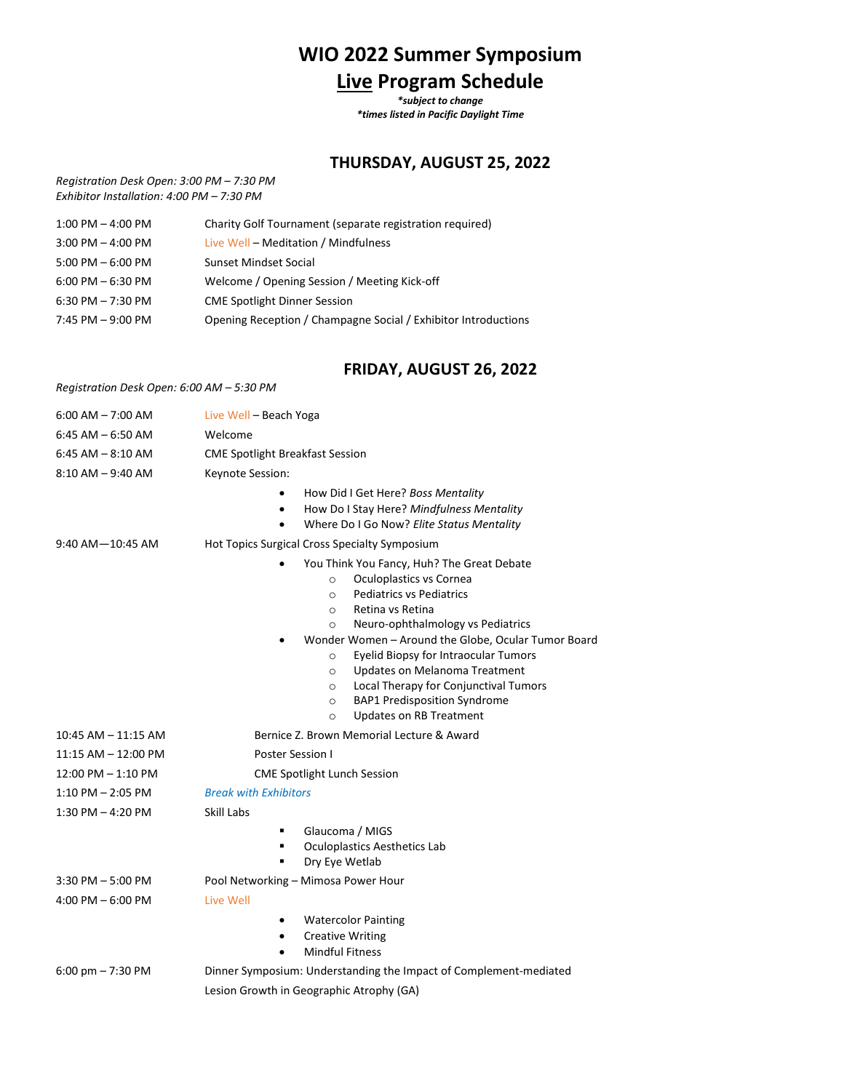## **WIO 2022 Summer Symposium Live Program Schedule**

*\*subject to change \*times listed in Pacific Daylight Time*

## **THURSDAY, AUGUST 25, 2022**

*Registration Desk Open: 3:00 PM – 7:30 PM Exhibitor Installation: 4:00 PM – 7:30 PM*

| $1:00$ PM $-$ 4:00 PM | Charity Golf Tournament (separate registration required)       |
|-----------------------|----------------------------------------------------------------|
| $3:00$ PM $-$ 4:00 PM | Live Well - Meditation / Mindfulness                           |
| $5:00$ PM $-6:00$ PM  | Sunset Mindset Social                                          |
| $6:00$ PM $-6:30$ PM  | Welcome / Opening Session / Meeting Kick-off                   |
| 6:30 PM $- 7:30$ PM   | <b>CME Spotlight Dinner Session</b>                            |
| 7:45 PM $-9:00$ PM    | Opening Reception / Champagne Social / Exhibitor Introductions |

## **FRIDAY, AUGUST 26, 2022**

*Registration Desk Open: 6:00 AM – 5:30 PM*

| $6:00$ AM $- 7:00$ AM   | Live Well - Beach Yoga                                                                                                                                                                                                                                                                                                                                                                                                                                                                                                 |
|-------------------------|------------------------------------------------------------------------------------------------------------------------------------------------------------------------------------------------------------------------------------------------------------------------------------------------------------------------------------------------------------------------------------------------------------------------------------------------------------------------------------------------------------------------|
| $6:45$ AM $-6:50$ AM    | Welcome                                                                                                                                                                                                                                                                                                                                                                                                                                                                                                                |
| $6:45$ AM $-8:10$ AM    | <b>CME Spotlight Breakfast Session</b>                                                                                                                                                                                                                                                                                                                                                                                                                                                                                 |
| $8:10$ AM $-$ 9:40 AM   | Keynote Session:                                                                                                                                                                                                                                                                                                                                                                                                                                                                                                       |
|                         | How Did I Get Here? Boss Mentality<br>٠<br>How Do I Stay Here? Mindfulness Mentality<br>$\bullet$<br>Where Do I Go Now? Elite Status Mentality<br>٠                                                                                                                                                                                                                                                                                                                                                                    |
| $9:40$ AM $-10:45$ AM   | Hot Topics Surgical Cross Specialty Symposium                                                                                                                                                                                                                                                                                                                                                                                                                                                                          |
|                         | You Think You Fancy, Huh? The Great Debate<br>Oculoplastics vs Cornea<br>$\circ$<br><b>Pediatrics vs Pediatrics</b><br>$\circ$<br>Retina vs Retina<br>$\circ$<br>Neuro-ophthalmology vs Pediatrics<br>$\circ$<br>Wonder Women - Around the Globe, Ocular Tumor Board<br>Eyelid Biopsy for Intraocular Tumors<br>$\circ$<br>Updates on Melanoma Treatment<br>$\circ$<br>Local Therapy for Conjunctival Tumors<br>$\circ$<br><b>BAP1 Predisposition Syndrome</b><br>$\circ$<br><b>Updates on RB Treatment</b><br>$\circ$ |
| $10:45$ AM $-$ 11:15 AM | Bernice Z. Brown Memorial Lecture & Award                                                                                                                                                                                                                                                                                                                                                                                                                                                                              |
| $11:15$ AM $-12:00$ PM  | Poster Session I                                                                                                                                                                                                                                                                                                                                                                                                                                                                                                       |
| 12:00 PM - 1:10 PM      | <b>CME Spotlight Lunch Session</b>                                                                                                                                                                                                                                                                                                                                                                                                                                                                                     |
| $1:10$ PM $- 2:05$ PM   | <b>Break with Exhibitors</b>                                                                                                                                                                                                                                                                                                                                                                                                                                                                                           |
| $1:30$ PM $-$ 4:20 PM   | Skill Labs                                                                                                                                                                                                                                                                                                                                                                                                                                                                                                             |
|                         | Glaucoma / MIGS<br>$\blacksquare$<br><b>Oculoplastics Aesthetics Lab</b><br>٠<br>Dry Eye Wetlab                                                                                                                                                                                                                                                                                                                                                                                                                        |
| $3:30$ PM $-5:00$ PM    | Pool Networking - Mimosa Power Hour                                                                                                                                                                                                                                                                                                                                                                                                                                                                                    |
| 4:00 PM $-6:00$ PM      | Live Well                                                                                                                                                                                                                                                                                                                                                                                                                                                                                                              |
|                         | <b>Watercolor Painting</b><br>٠<br><b>Creative Writing</b><br>٠<br><b>Mindful Fitness</b>                                                                                                                                                                                                                                                                                                                                                                                                                              |
| 6:00 pm $- 7:30$ PM     | Dinner Symposium: Understanding the Impact of Complement-mediated                                                                                                                                                                                                                                                                                                                                                                                                                                                      |
|                         | Lesion Growth in Geographic Atrophy (GA)                                                                                                                                                                                                                                                                                                                                                                                                                                                                               |